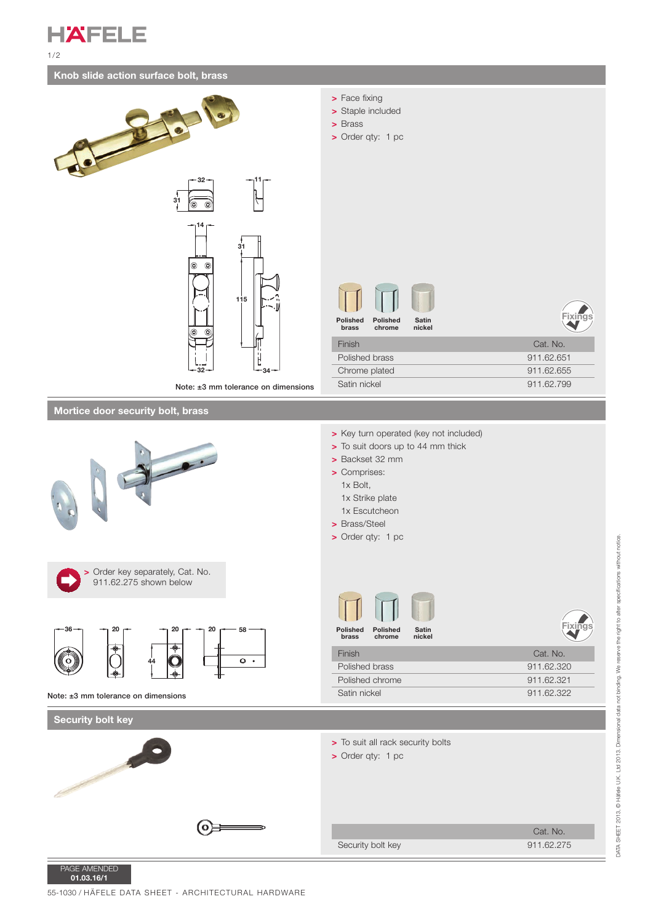**HAFELE** 1/2

## **Knob slide action surface bolt, brass**





PAGE AMENDED **01.03.16/1**

55-1030 / HÄFELE DATA SHEET - ARCHITECTURAL HARDWARE